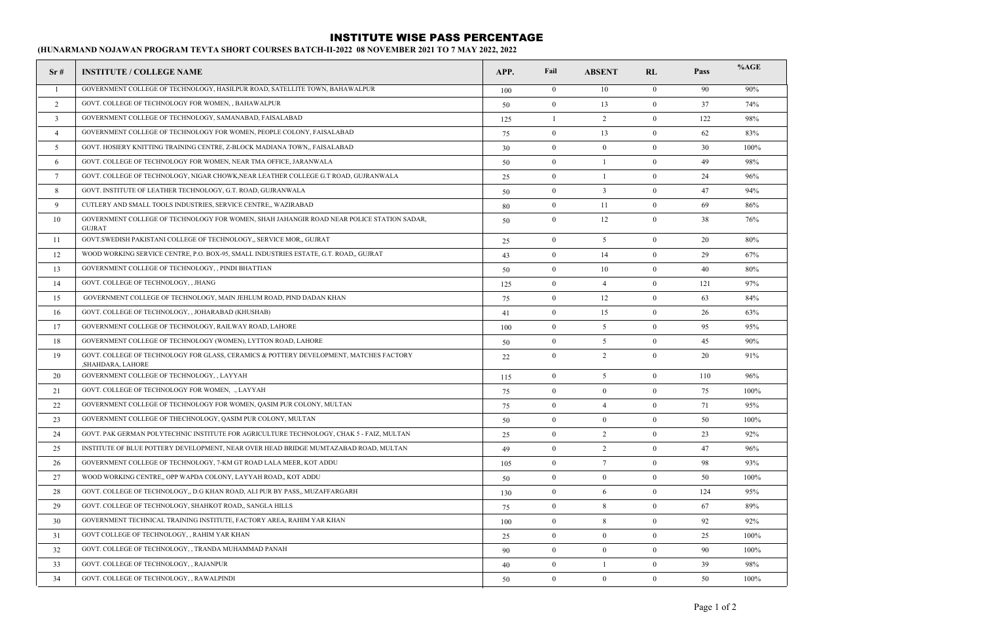## INSTITUTE WISE PASS PERCENTAGE

**(HUNARMAND NOJAWAN PROGRAM TEVTA SHORT COURSES BATCH-II-2022 08 NOVEMBER 2021 TO 7 MAY 2022, 2022**

| Sr#                     | <b>INSTITUTE / COLLEGE NAME</b>                                                                             | APP. | Fail             | <b>ABSENT</b>   | RL               | Pass | %AGE |
|-------------------------|-------------------------------------------------------------------------------------------------------------|------|------------------|-----------------|------------------|------|------|
| -1                      | GOVERNMENT COLLEGE OF TECHNOLOGY, HASILPUR ROAD, SATELLITE TOWN, BAHAWALPUR                                 | 100  | $\overline{0}$   | 10              | $\overline{0}$   | 90   | 90%  |
| 2                       | GOVT. COLLEGE OF TECHNOLOGY FOR WOMEN, , BAHAWALPUR                                                         | 50   | $\mathbf{0}$     | 13              | $\mathbf{0}$     | 37   | 74%  |
| $\overline{\mathbf{3}}$ | GOVERNMENT COLLEGE OF TECHNOLOGY, SAMANABAD, FAISALABAD                                                     | 125  | $\mathbf{1}$     | 2               | $\mathbf{0}$     | 122  | 98%  |
| $\overline{4}$          | GOVERNMENT COLLEGE OF TECHNOLOGY FOR WOMEN, PEOPLE COLONY, FAISALABAD                                       | 75   | $\boldsymbol{0}$ | 13              | $\boldsymbol{0}$ | 62   | 83%  |
| 5                       | GOVT. HOSIERY KNITTING TRAINING CENTRE, Z-BLOCK MADIANA TOWN,, FAISALABAD                                   | 30   | $\mathbf{0}$     | $\bf{0}$        | $\mathbf{0}$     | 30   | 100% |
| 6                       | GOVT. COLLEGE OF TECHNOLOGY FOR WOMEN, NEAR TMA OFFICE, JARANWALA                                           | 50   | $\boldsymbol{0}$ | 1               | $\bf{0}$         | 49   | 98%  |
| $7\phantom{.0}$         | GOVT. COLLEGE OF TECHNOLOGY, NIGAR CHOWK, NEAR LEATHER COLLEGE G.T ROAD, GUJRANWALA                         | 25   | $\mathbf{0}$     | -1              | $\mathbf{0}$     | 24   | 96%  |
| 8                       | GOVT. INSTITUTE OF LEATHER TECHNOLOGY, G.T. ROAD, GUJRANWALA                                                | 50   | $\mathbf{0}$     | $\overline{3}$  | $\mathbf{0}$     | 47   | 94%  |
| 9                       | CUTLERY AND SMALL TOOLS INDUSTRIES, SERVICE CENTRE,, WAZIRABAD                                              | 80   | $\mathbf{0}$     | 11              | $\overline{0}$   | 69   | 86%  |
| 10                      | GOVERNMENT COLLEGE OF TECHNOLOGY FOR WOMEN, SHAH JAHANGIR ROAD NEAR POLICE STATION SADAR,<br><b>GUJRAT</b>  | 50   | $\mathbf{0}$     | 12              | $\mathbf{0}$     | 38   | 76%  |
| 11                      | GOVT. SWEDISH PAKISTANI COLLEGE OF TECHNOLOGY, SERVICE MOR., GUJRAT                                         | 25   | $\mathbf{0}$     | 5               | $\overline{0}$   | 20   | 80%  |
| 12                      | WOOD WORKING SERVICE CENTRE, P.O. BOX-95, SMALL INDUSTRIES ESTATE, G.T. ROAD,, GUJRAT                       | 43   | $\mathbf{0}$     | 14              | $\mathbf{0}$     | 29   | 67%  |
| 13                      | GOVERNMENT COLLEGE OF TECHNOLOGY, , PINDI BHATTIAN                                                          | 50   | $\mathbf{0}$     | 10              | $\mathbf{0}$     | 40   | 80%  |
| 14                      | GOVT. COLLEGE OF TECHNOLOGY, , JHANG                                                                        | 125  | $\mathbf{0}$     | $\overline{4}$  | $\mathbf{0}$     | 121  | 97%  |
| 15                      | GOVERNMENT COLLEGE OF TECHNOLOGY, MAIN JEHLUM ROAD, PIND DADAN KHAN                                         | 75   | $\mathbf{0}$     | 12              | $\mathbf{0}$     | 63   | 84%  |
| 16                      | GOVT. COLLEGE OF TECHNOLOGY, , JOHARABAD (KHUSHAB)                                                          | 41   | $\boldsymbol{0}$ | 15              | $\bf{0}$         | 26   | 63%  |
| 17                      | GOVERNMENT COLLEGE OF TECHNOLOGY, RAILWAY ROAD, LAHORE                                                      | 100  | $\mathbf{0}$     | 5               | $\mathbf{0}$     | 95   | 95%  |
| 18                      | GOVERNMENT COLLEGE OF TECHNOLOGY (WOMEN), LYTTON ROAD, LAHORE                                               | 50   | $\boldsymbol{0}$ | 5               | $\bf{0}$         | 45   | 90%  |
| 19                      | GOVT. COLLEGE OF TECHNOLOGY FOR GLASS, CERAMICS & POTTERY DEVELOPMENT, MATCHES FACTORY<br>,SHAHDARA, LAHORE | 22   | $\boldsymbol{0}$ | 2               | $\boldsymbol{0}$ | 20   | 91%  |
| 20                      | GOVERNMENT COLLEGE OF TECHNOLOGY, , LAYYAH                                                                  | 115  | $\mathbf{0}$     | 5               | $\mathbf{0}$     | 110  | 96%  |
| 21                      | GOVT. COLLEGE OF TECHNOLOGY FOR WOMEN, ., LAYYAH                                                            | 75   | $\boldsymbol{0}$ | $\mathbf{0}$    | $\mathbf{0}$     | 75   | 100% |
| 22                      | GOVERNMENT COLLEGE OF TECHNOLOGY FOR WOMEN, QASIM PUR COLONY, MULTAN                                        | 75   | $\mathbf{0}$     | $\overline{4}$  | $\bf{0}$         | 71   | 95%  |
| 23                      | GOVERNMENT COLLEGE OF THECHNOLOGY, QASIM PUR COLONY, MULTAN                                                 | 50   | $\bf{0}$         | $\overline{0}$  | $\bf{0}$         | 50   | 100% |
| 24                      | GOVT. PAK GERMAN POLYTECHNIC INSTITUTE FOR AGRICULTURE TECHNOLOGY, CHAK 5 - FAIZ, MULTAN                    | 25   | $\mathbf{0}$     | $\overline{2}$  | $\mathbf{0}$     | 23   | 92%  |
| 25                      | INSTITUTE OF BLUE POTTERY DEVELOPMENT, NEAR OVER HEAD BRIDGE MUMTAZABAD ROAD, MULTAN                        | 49   | $\mathbf{0}$     | $\overline{2}$  | $\overline{0}$   | 47   | 96%  |
| 26                      | GOVERNMENT COLLEGE OF TECHNOLOGY, 7-KM GT ROAD LALA MEER, KOT ADDU                                          | 105  | $\mathbf{0}$     | $7\phantom{.0}$ | $\mathbf{0}$     | 98   | 93%  |
| 27                      | WOOD WORKING CENTRE,, OPP WAPDA COLONY, LAYYAH ROAD,, KOT ADDU                                              | 50   | $\mathbf{0}$     | $\mathbf{0}$    | $\mathbf{0}$     | 50   | 100% |
| 28                      | GOVT. COLLEGE OF TECHNOLOGY,, D.G KHAN ROAD, ALI PUR BY PASS,, MUZAFFARGARH                                 | 130  | $\mathbf{0}$     | 6               | $\overline{0}$   | 124  | 95%  |
| 29                      | GOVT. COLLEGE OF TECHNOLOGY, SHAHKOT ROAD,, SANGLA HILLS                                                    | 75   | $\mathbf{0}$     | 8               | $\overline{0}$   | 67   | 89%  |
| 30                      | GOVERNMENT TECHNICAL TRAINING INSTITUTE, FACTORY AREA, RAHIM YAR KHAN                                       | 100  | $\boldsymbol{0}$ | $\,8\,$         | $\bf{0}$         | 92   | 92%  |
| 31                      | GOVT COLLEGE OF TECHNOLOGY, , RAHIM YAR KHAN                                                                | 25   | $\mathbf{0}$     | $\mathbf{0}$    | $\overline{0}$   | 25   | 100% |
| 32                      | GOVT. COLLEGE OF TECHNOLOGY, , TRANDA MUHAMMAD PANAH                                                        | 90   | $\mathbf{0}$     | $\overline{0}$  | $\overline{0}$   | 90   | 100% |
| 33                      | GOVT. COLLEGE OF TECHNOLOGY, , RAJANPUR                                                                     | 40   | $\mathbf{0}$     | $\mathbf{1}$    | $\mathbf{0}$     | 39   | 98%  |
| 34                      | GOVT. COLLEGE OF TECHNOLOGY, , RAWALPINDI                                                                   | 50   | $\mathbf{0}$     | $\mathbf{0}$    | $\mathbf{0}$     | 50   | 100% |